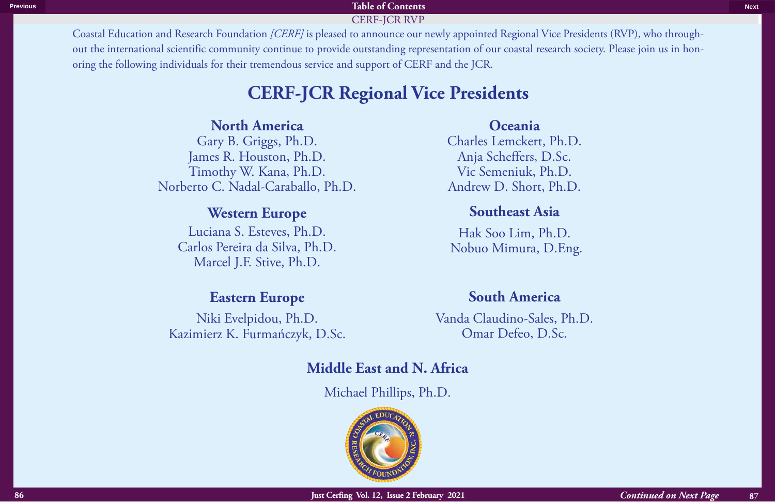Coastal Education and Research Foundation *[CERF]* is pleased to announce our newly appointed Regional Vice Presidents (RVP), who throughout the international scientific community continue to provide outstanding representation of our coastal research society. Please join us in honoring the following individuals for their tremendous service and support of CERF and the JCR. CERF-JCR RVP-JCR RVP-JCR RVP-JCR RVP-JCR RVP-JCR RVP-JCR RVP-JCR RVP-JCR RVP-JCR RVP-JCR RVP-JCR RVP-JCR RVP-J Contribution and Revarch Foundation (*CRBF*) pictured at a mortely spectrum of the tensories of the Homeophone of the Euler on According the Control of the Euler on According the Control of the Control of the Control of th

# **CERF-JCR Regional Vice Presidents**

# **North America**

Gary B. Griggs, Ph.D. James R. Houston, Ph.D. Timothy W. Kana, Ph.D. Norberto C. Nadal-Caraballo, Ph.D.

# **Western Europe**

Luciana S. Esteves, Ph.D. Carlos Pereira da Silva, Ph.D. Marcel J.F. Stive, Ph.D.

# **Eastern Europe**

Niki Evelpidou, Ph.D. Kazimierz K. Furmańczyk, D.Sc.

# **Oceania**

Charles Lemckert, Ph.D. Anja Scheffers, D.Sc. Vic Semeniuk, Ph.D. Andrew D. Short, Ph.D.

# **Southeast Asia**

Hak Soo Lim, Ph.D. Nobuo Mimura, D.Eng.

# **South America**

Vanda Claudino-Sales, Ph.D. Omar Defeo, D.Sc.

# **Middle East and N. Africa**

Michael Phillips, Ph.D.

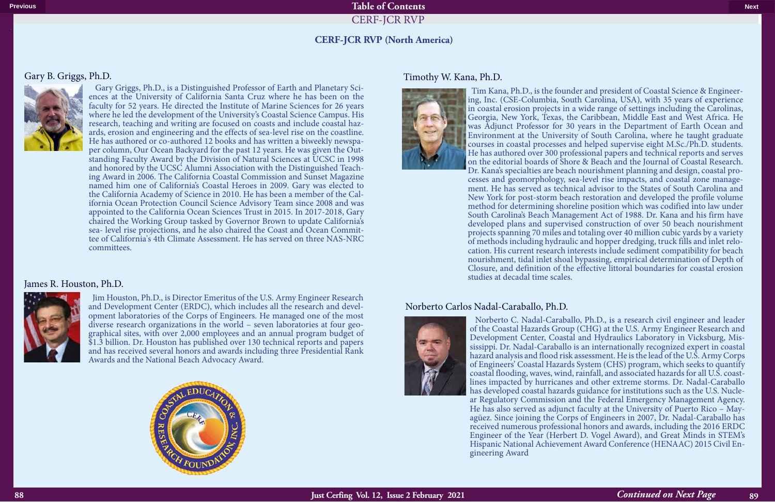### **CERF-JCR RVP (North America)**

CERF-JCR RVP-JCR RVP-JCR RVP-JCR RVP-JCR RVP-JCR RVP-JCR RVP-JCR RVP-JCR RVP-JCR RVP-JCR RVP-JCR RVP-JCR RVP-J

#### Gary B. Griggs, Ph.D.



 Gary Griggs, Ph.D., is a Distinguished Professor of Earth and Planetary Sci- ences at the University of California Santa Cruz where he has been on the faculty for 52 years. He directed the Institute of Marine Sciences for 26 years where he led the development of the University's Coastal Science Campus. His research, teaching and writing are focused on coasts and include coastal hazards, erosion and engineering and the effects of sea-level rise on the coastline.<br>He has authored or co- authored 12 books and has written a biweekly newspaper column, Our Ocean Backyard for the past 12 years. He was given the Outstanding Faculty Award by the Division of Natural Sciences at UCSC in 1998 and honored by the UCSC Alumni Association with the Distinguished Teaching Award in 2006. The California Coastal Commission and Sunset Magazine named him one of California's Coastal Heroes in 2009. Gary was elected to the California Academy of Science in 2010. He has been a member of the California Ocean Protection Council Science Advisory Team since 2008 and was appointed to the California Ocean Sciences Trust in 2015. In 2017-2018, Gary chaired the Working Group tasked by Governor Brown to update California's sea- level rise projections, and he also chaired the Coast and Ocean Committee of California's 4th Climate Assessment. He has served on three NAS-NRC committees.

#### Norberto Carlos Nadal-Caraballo, Ph.D.



 Norberto C. Nadal-Caraballo, Ph.D., is a research civil engineer and leader of the Coastal Hazards Group (CHG) at the U.S. Army Engineer Research and Development Center, Coastal and Hydraulics Laboratory in Vicksburg, Mississippi. Dr. Nadal-Caraballo is an internationally recognized expert in coastal hazard analysis and flood risk assessment. He is the lead of the U.S. Army Corps of Engineers' Coastal Hazards System (CHS) program, which seeks to quantify coastal flooding, waves, wind, rainfall, and associated hazards for all U.S. coastlines impacted by hurricanes and other extreme storms. Dr. Nadal-Caraballo has developed coastal hazards guidance for institutions such as the U.S. Nuclear Regulatory Commission and the Federal Emergency Management Agency. He has also served as adjunct faculty at the University of Puerto Rico – Mayagüez. Since joining the Corps of Engineers in 2007, Dr. Nadal-Caraballo has received numerous professional honors and awards, including the 2016 ERDC Engineer of the Year (Herbert D. Vogel Award), and Great Minds in STEM's Hispanic National Achievement Award Conference (HENAAC) 2015 Civil Engineering Award

#### James R. Houston, Ph.D.



 Jim Houston, Ph.D., is Director Emeritus of the U.S. Army Engineer Research and Development Center (ERDC), which includes all the research and development laboratories of the Corps of Engineers. He managed one of the most diverse research organizations in the world – seven laboratories at four geographical sites, with over 2,000 employees and an annual program budget of \$1.3 billion. Dr. Houston has published over 130 technical reports and papers and has received several honors and awards including three Presidential Rank Awards and the National Beach Advocacy Award.



#### Timothy W. Kana, Ph.D.



 Tim Kana, Ph.D., is the founder and president of Coastal Science & Engineer- ing, Inc. (CSE-Columbia, South Carolina, USA), with 35 years of experience in coastal erosion projects in a wide range of settings including the Carolinas, Georgia, New York, Texas, the Caribbean, Middle East and West Africa. He was Adjunct Professor for 30 years in the Department of Earth Ocean and Environment at the University of South Carolina, where he taught graduate courses in coastal processes and helped supervise eight M.Sc./Ph.D. students. He has authored over 300 professional papers and technical reports and serves on the editorial boards of Shore & Beach and the Journal of Coastal Research. 'Dr. Kana's specialties are beach nourishment planning and design, coastal processes and geomorphology, sea-level rise impacts, and coastal zone management. He has served as technical advisor to the States of South Carolin New York for post-storm beach restoration and developed the profile volume method for determining shoreline position which was codified into law under South Carolina's Beach Management Act of 1988. Dr. Kana and his firm have developed plans and supervised construction of over 50 beach nourishment projects spanning 70 miles and totaling over 40 million cubic yards by a variety of methods including hydraulic and hopper dredging, truck fills and inlet relo- cation. His current research interests include sediment compatibility for beach nourishment, tidal inlet shoal bypassing, empirical determination of Depth of Closure, and definition of the effective littoral boundaries for coastal erosion studies at decadal time scales.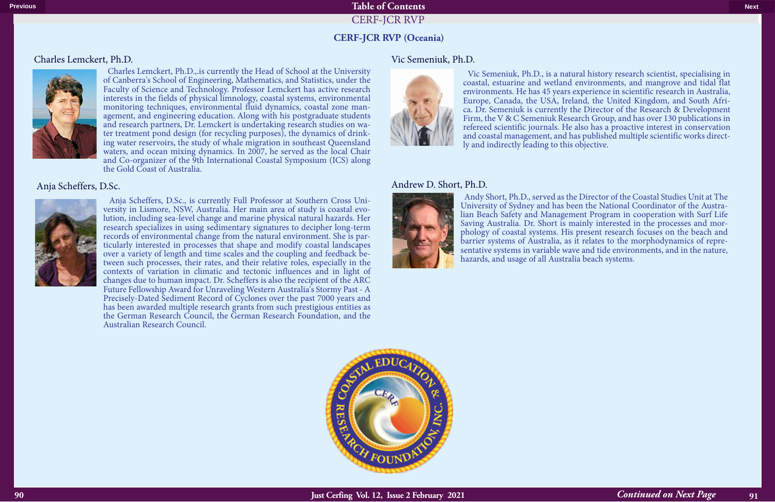#### Charles Lemckert, Ph.D.



 Anja Scheffers, D.Sc., is currently Full Professor at Southern Cross University in Lismore, NSW, Australia. Her main area of study is coastal evolution, including sea-level change and marine physical natural hazards. Her research specializes in using sedimentary signatures to decipher long-term records of environmental change from the natural environment. She is particularly interested in processes that shape and modify coastal landscapes over a variety of length and time scales and the coupling and feedback between such processes, their rates, and their relative roles, especially in the contexts of variation in climatic and tectonic influences and in light of changes due to human impact. Dr. Scheffers is also the recipient of the ARC Future Fellowship Award for Unraveling Western Australia's Stormy Past - A Precisely-Dated Sediment Record of Cyclones over the past 7000 years and has been awarded multiple research grants from such prestigious entities as the German Research Council, the German Research Foundation, and the Australian Research Council. **Continued on Next Page 2012** 

 Charles Lemckert, Ph.D.,.is currently the Head of School at the University of Canberra's School of Engineering, Mathematics, and Statistics, under the Faculty of Science and Technology. Professor Lemckert has active research interests in the fields of physical limnology, coastal systems, environmental monitoring techniques, environmental fluid dynamics, coastal zone management, and engineering education. Along with his postgraduate students and research partners, Dr. Lemckert is undertaking research studies on water treatment pond design (for recycling purposes), the dynamics of drinking water reservoirs, the study of whale migration in southeast Queensland waters, and ocean mixing dynamics. In 2007, he served as the local Chair and Co-organizer of the 9th International Coastal Symposium (ICS) along the Gold Coast of Australia.

# Anja Scheffers, D.Sc.



### Vic Semeniuk, Ph.D.



 Vic Semeniuk, Ph.D., is a natural history research scientist, specialising in coastal, estuarine and wetland environments, and mangrove and tidal flat environments. He has 45 years experience in scientific research in Australia, Europe, Canada, the USA, Ireland, the United Kingdom, and South Africa. Dr. Semeniuk is currently the Director of the Research & Development Firm, the V & C Semeniuk Research Group, and has over 130 publications in refereed scientific journals. He also has a proactive interest in conservation and coastal management, and has published multiple scientific works directly and indirectly leading to this objective.

### Andrew D. Short, Ph.D.



 Andy Short, Ph.D., served as the Director of the Coastal Studies Unit at The University of Sydney and has been the National Coordinator of the Australian Beach Safety and Management Program in cooperation with Surf Life phology of coastal systems. His present research focuses on the beach and barrier systems of Australia, as it relates to the morphodynamics of representative systems in variable wave and tide environments, and in the nature, hazards, and usage of all Australia beach systems.



## **CERF-JCR RVP (Oceania)**

CERF-JCR RVP-JCR RVP-JCR RVP-JCR RVP-JCR RVP-JCR RVP-JCR RVP-JCR RVP-JCR RVP-JCR RVP-JCR RVP-JCR RVP-JCR RVP-J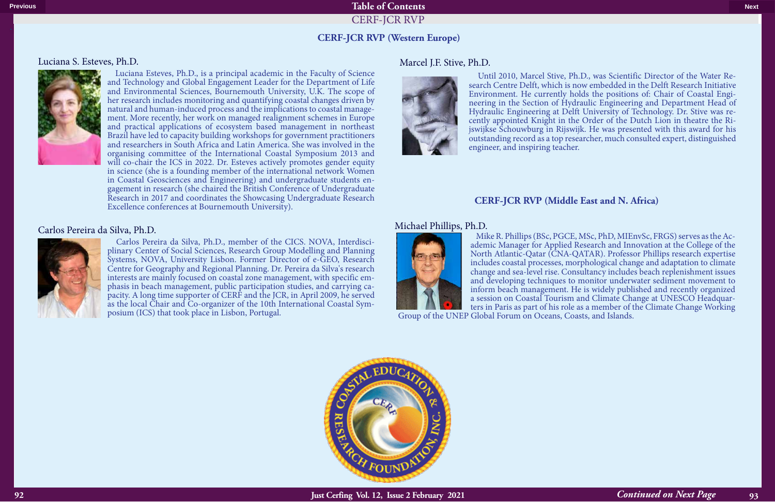#### Luciana S. Esteves, Ph.D.



 Luciana Esteves, Ph.D., is a principal academic in the Faculty of Science and Technology and Global Engagement Leader for the Department of Life and Environmental Sciences, Bournemouth University, U.K. The scope of her research includes monitoring and quantifying coastal changes driven by natural and human-induced process and the implications to coastal management. More recently, her work on managed realignment schemes in Europe and practical applications of ecosystem based management in northeast Brazil have led to capacity building workshops for government practitioners and researchers in South Africa and Latin America. She was involved in the organising committee of the International Coastal Symposium 2013 and will co-chair the ICS in 2022. Dr. Esteves actively promotes gender equity in science (she is a founding member of the international network Women in Coastal Geosciences and Engineering) and undergraduate students en- gagement in research (she chaired the British Conference of Undergraduate Research in 2017 and coordinates the Showcasing Undergraduate Research Excellence conferences at Bournemouth University).

### Carlos Pereira da Silva, Ph.D.



Until 2010, Marcel Stive, Ph.D., was Scientific Director of the Water Research Centre Delft, which is now embedded in the Delft Research Initiative Environment. He currently holds the positions of: Chair of Coastal Engineering in the Section of Hydraulic Engineering and Department Head of Hydraulic Engineering at Delft University of Technology. Dr. Stive was recently appointed Knight in the Order of the Dutch Lion in theatre the Rijswijkse Schouwburg in Rijswijk. He was presented with this award for his outstanding record as a top researcher, much consulted expert, distinguished engineer, and inspiring teacher.

 Carlos Pereira da Silva, Ph.D., member of the CICS. NOVA, Interdisci- plinary Center of Social Sciences, Research Group Modelling and Planning Systems, NOVA, University Lisbon. Former Director of e-GEO, Research Centre for Geography and Regional Planning. Dr. Pereira da Silva's research interests are mainly focused on coastal zone management, with specific emphasis in beach management, public participation studies, and carrying capacity. A long time supporter of CERF and the JCR, in April 2009, he served as the local Chair and Co-organizer of the 10th International Coastal Symposium (ICS) that took place in Lisbon, Portugal.

### Marcel J.F. Stive, Ph.D.



### **CERF-JCR RVP (Western Europe)**

CERF-JCR RVP-JCR RVP-JCR RVP-JCR RVP-JCR RVP-JCR RVP-JCR RVP-JCR RVP-JCR RVP-JCR RVP-JCR RVP-JCR RVP-JCR RVP-J

Mike R. Phillips (BSc, PGCE, MSc, PhD, MIEnvSc, FRGS) serves as the Ac- ademic Manager for Applied Research and Innovation at the College of the

North Atlantic-Qatar (CNA-QATAR). Professor Phillips research expertise includes coastal processes, morphological change and adaptation to climate change and sea-level rise. Consultancy includes beach replenishment issues and developing techniques to monitor underwater sediment movement to inform beach management. He is widely published and recently organized a session on Coastal Tourism and Climate Change at UNESCO Headquarters in Paris as part of his role as a member of the Climate Change Working Group of the UNEP Global Forum on Oceans, Coasts, and Islands.



# Michael Phillips, Ph.D.



# **CERF-JCR RVP (Middle East and N. Africa)**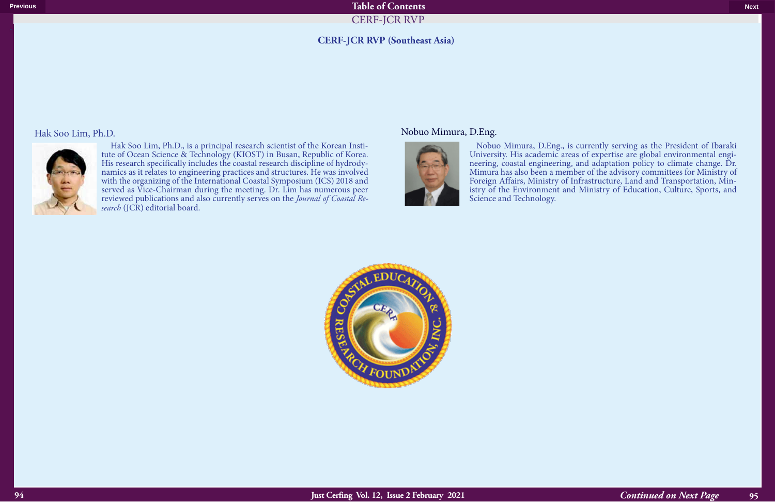#### Hak Soo Lim, Ph.D.



Hak Soo Lim, Ph.D., is a principal research scientist of the Korean Institute of Ocean Science & Technology (KIOST) in Busan, Republic of Korea.<br>His research specifically includes the coastal research discipline of hydrody His research specifically includes the coastal research discipline of hydrody- namics as it relates to engineering practices and structures. He was involved with the organizing of the International Coastal Symposium (ICS) 2018 and served as Vice-Chairman during the meeting. Dr. Lim has numerous peer reviewed publications and also currently serves on the *Journal of Coastal Re- search* (JCR) editorial board.

# **CERF-JCR RVP (Southeast Asia)**

CERF-JCR RVP-JCR RVP-JCR RVP-JCR RVP-JCR RVP-JCR RVP-JCR RVP-JCR RVP-JCR RVP-JCR RVP-JCR RVP-JCR RVP-JCR RVP-J

#### Nobuo Mimura, D.Eng.



 Nobuo Mimura, D.Eng., is currently serving as the President of Ibaraki University. His academic areas of expertise are global environmental engineering, coastal engineering, and adaptation policy to climate change. Dr. Mimura has also been a member of the advisory committees for Ministry of Foreign Affairs, Ministry of Infrastructure, Land and Transportation, Ministry of the Environment and Ministry of Education, Culture, Sports, and Science and Technology.